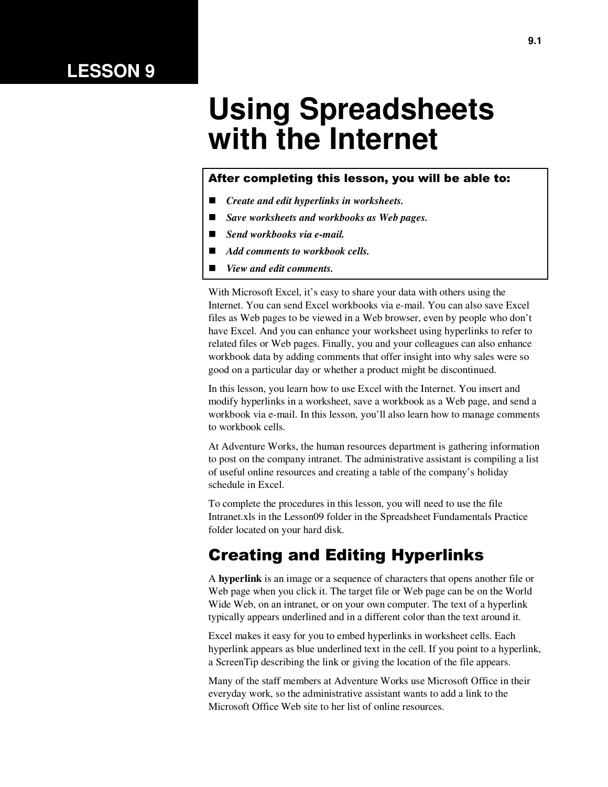### **LESSON 9**

# **Using Spreadsheets with the Internet**

#### After completing this lesson, you will be able to:

- *Create and edit hyperlinks in worksheets.*
- *Save worksheets and workbooks as Web pages.*
- *Send workbooks via e-mail.*
- *Add comments to workbook cells.*
- *View and edit comments.*

With Microsoft Excel, it's easy to share your data with others using the Internet. You can send Excel workbooks via e-mail. You can also save Excel files as Web pages to be viewed in a Web browser, even by people who don't have Excel. And you can enhance your worksheet using hyperlinks to refer to related files or Web pages. Finally, you and your colleagues can also enhance workbook data by adding comments that offer insight into why sales were so good on a particular day or whether a product might be discontinued.

In this lesson, you learn how to use Excel with the Internet. You insert and modify hyperlinks in a worksheet, save a workbook as a Web page, and send a workbook via e-mail. In this lesson, you'll also learn how to manage comments to workbook cells.

At Adventure Works, the human resources department is gathering information to post on the company intranet. The administrative assistant is compiling a list of useful online resources and creating a table of the company's holiday schedule in Excel.

To complete the procedures in this lesson, you will need to use the file Intranet.xls in the Lesson09 folder in the Spreadsheet Fundamentals Practice folder located on your hard disk.

#### Creating and Editing Hyperlinks

A **hyperlink** is an image or a sequence of characters that opens another file or Web page when you click it. The target file or Web page can be on the World Wide Web, on an intranet, or on your own computer. The text of a hyperlink typically appears underlined and in a different color than the text around it.

Excel makes it easy for you to embed hyperlinks in worksheet cells. Each hyperlink appears as blue underlined text in the cell. If you point to a hyperlink, a ScreenTip describing the link or giving the location of the file appears.

Many of the staff members at Adventure Works use Microsoft Office in their everyday work, so the administrative assistant wants to add a link to the Microsoft Office Web site to her list of online resources.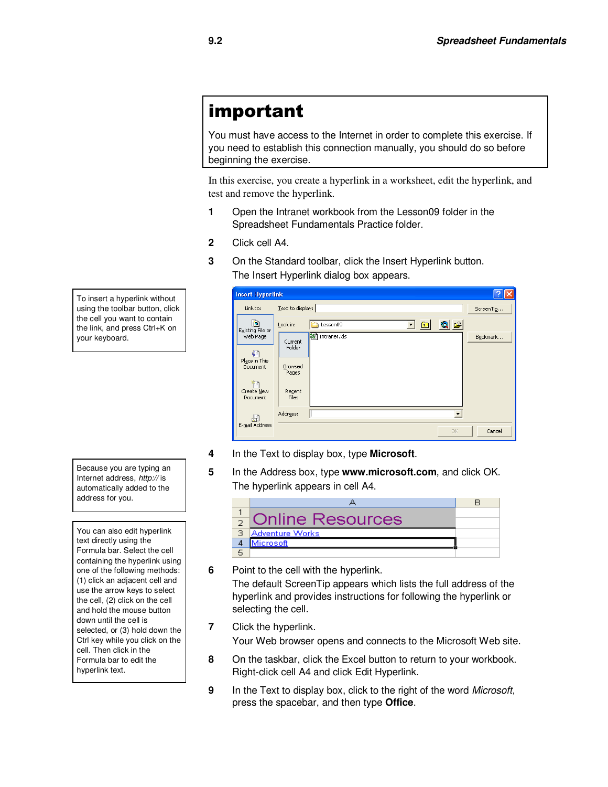# important

You must have access to the Internet in order to complete this exercise. If you need to establish this connection manually, you should do so before beginning the exercise.

In this exercise, you create a hyperlink in a worksheet, edit the hyperlink, and test and remove the hyperlink.

- **1** Open the Intranet workbook from the Lesson09 folder in the Spreadsheet Fundamentals Practice folder.
- **2** Click cell A4.
- **3** On the Standard toolbar, click the Insert Hyperlink button. The Insert Hyperlink dialog box appears.

| <b>Insert Hyperlink</b>      |                   |                                        |           |
|------------------------------|-------------------|----------------------------------------|-----------|
| Link to:                     | Text to display:  |                                        | ScreenTip |
| <b>b</b><br>Existing File or | Look in:          | QE<br>$\blacksquare$<br>Lesson09<br>▾╎ |           |
| Web Page                     | Current<br>Folder | X<br>Intranet.xls                      | Bookmark  |
| Place in This<br>Document    | Browsed<br>Pages  |                                        |           |
| Create New<br>Document       | Recent<br>Files   |                                        |           |
|                              | Address:          |                                        |           |
| E-mail Address               |                   | OK.                                    | Cancel    |

To insert a hyperlink without using the toolbar button, click the cell you want to contain the link, and press Ctrl+K on your keyboard.

**4** In the Text to display box, type **Microsoft**.

**5** In the Address box, type **www.microsoft.com**, and click OK. The hyperlink appears in cell A4.

| <b>Online Resources</b> |  |
|-------------------------|--|
| <b>Adventure Works</b>  |  |
| Microsoft               |  |
|                         |  |

- **6** Point to the cell with the hyperlink. The default ScreenTip appears which lists the full address of the hyperlink and provides instructions for following the hyperlink or selecting the cell.
- **7** Click the hyperlink.

Your Web browser opens and connects to the Microsoft Web site.

- **8** On the taskbar, click the Excel button to return to your workbook. Right-click cell A4 and click Edit Hyperlink.
- **9** In the Text to display box, click to the right of the word *Microsoft*, press the spacebar, and then type **Office**.

Because you are typing an Internet address, *http://* is automatically added to the address for you.

You can also edit hyperlink text directly using the Formula bar. Select the cell containing the hyperlink using one of the following methods: (1) click an adjacent cell and use the arrow keys to select the cell, (2) click on the cell and hold the mouse button down until the cell is selected, or (3) hold down the Ctrl key while you click on the cell. Then click in the Formula bar to edit the hyperlink text.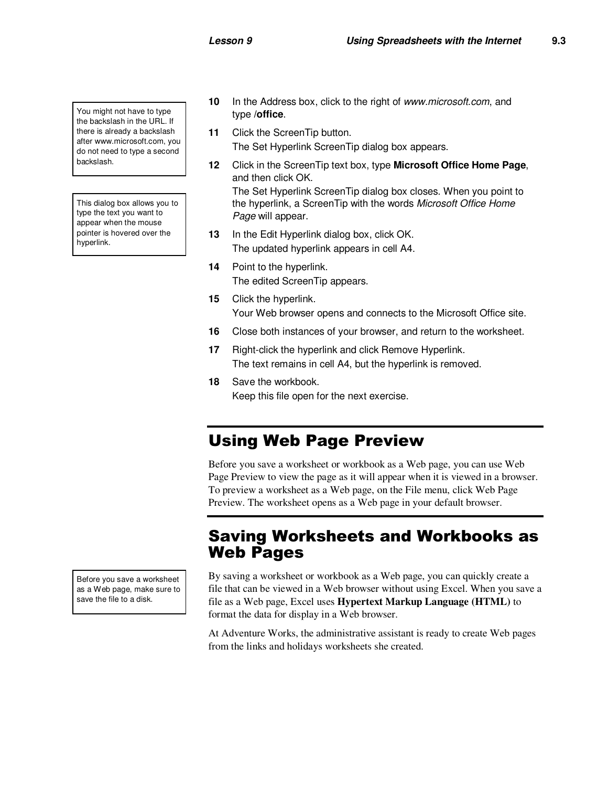You might not have to type the backslash in the URL. If there is already a backslash after www.microsoft.com, you do not need to type a second backslash.

This dialog box allows you to type the text you want to appear when the mouse pointer is hovered over the hyperlink.

- **10** In the Address box, click to the right of *www.microsoft.com*, and type **/office**.
- **11** Click the ScreenTip button. The Set Hyperlink ScreenTip dialog box appears.
- **12** Click in the ScreenTip text box, type **Microsoft Office Home Page**, and then click OK. The Set Hyperlink ScreenTip dialog box closes. When you point to the hyperlink, a ScreenTip with the words *Microsoft Office Home Page* will appear.
- **13** In the Edit Hyperlink dialog box, click OK. The updated hyperlink appears in cell A4.
- **14** Point to the hyperlink. The edited ScreenTip appears.
- **15** Click the hyperlink. Your Web browser opens and connects to the Microsoft Office site.
- **16** Close both instances of your browser, and return to the worksheet.
- **17** Right-click the hyperlink and click Remove Hyperlink. The text remains in cell A4, but the hyperlink is removed.
- **18** Save the workbook. Keep this file open for the next exercise.

### Using Web Page Preview

Before you save a worksheet or workbook as a Web page, you can use Web Page Preview to view the page as it will appear when it is viewed in a browser. To preview a worksheet as a Web page, on the File menu, click Web Page Preview. The worksheet opens as a Web page in your default browser.

#### Saving Worksheets and Workbooks as Web Pages

By saving a worksheet or workbook as a Web page, you can quickly create a file that can be viewed in a Web browser without using Excel. When you save a file as a Web page, Excel uses **Hypertext Markup Language (HTML)** to format the data for display in a Web browser.

At Adventure Works, the administrative assistant is ready to create Web pages from the links and holidays worksheets she created.

Before you save a worksheet as a Web page, make sure to save the file to a disk.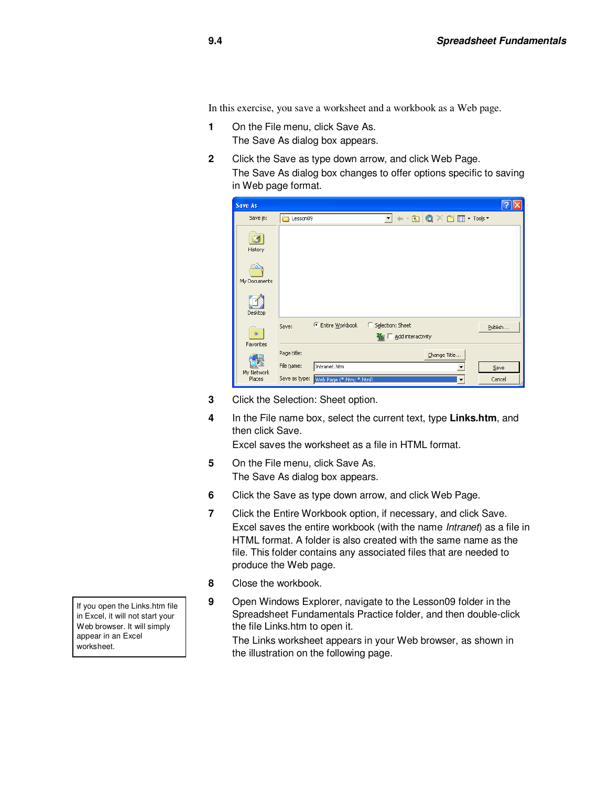In this exercise, you save a worksheet and a workbook as a Web page.

- **1** On the File menu, click Save As. The Save As dialog box appears.
- **2** Click the Save as type down arrow, and click Web Page. The Save As dialog box changes to offer options specific to saving in Web page format.

| ave As        |               |                          |                        |                                                                                                                                                                                                                                                                                                                                                                                                                                                                                                                                                                       |         |
|---------------|---------------|--------------------------|------------------------|-----------------------------------------------------------------------------------------------------------------------------------------------------------------------------------------------------------------------------------------------------------------------------------------------------------------------------------------------------------------------------------------------------------------------------------------------------------------------------------------------------------------------------------------------------------------------|---------|
| Save in:      | Lesson09      |                          | $\mathbf{r}$           | $\leftarrow$ $\left \bigcirc\right\rangle$ $\left \bigcirc\right\rangle$ $\left \right\rangle$ $\left \bigcirc\right\rangle$ $\left \right\rangle$ $\left \left \right\rangle$ $\left \right\rangle$ $\left \right\rangle$ $\left \right\rangle$ $\left \right\rangle$ $\left \left \right\rangle$ $\left \right\rangle$ $\left \right\rangle$ $\left \left \right\rangle$ $\left \right\rangle$ $\left \right\rangle$ $\left \right\rangle$ $\left \left \right\rangle$ $\left \right\rangle$ $\left \right\rangle$ $\left \left \right\rangle\right\rangle$ $\left$ |         |
| 65<br>History |               |                          |                        |                                                                                                                                                                                                                                                                                                                                                                                                                                                                                                                                                                       |         |
| My Documents  |               |                          |                        |                                                                                                                                                                                                                                                                                                                                                                                                                                                                                                                                                                       |         |
| Desktop       |               |                          |                        |                                                                                                                                                                                                                                                                                                                                                                                                                                                                                                                                                                       |         |
|               | Save:         | G<br>Entire Workbook     | Selection: Sheet       |                                                                                                                                                                                                                                                                                                                                                                                                                                                                                                                                                                       | Publish |
| *             |               |                          | Add interactivity<br>翻 |                                                                                                                                                                                                                                                                                                                                                                                                                                                                                                                                                                       |         |
| Favorites     | Page title:   |                          |                        | Change Title                                                                                                                                                                                                                                                                                                                                                                                                                                                                                                                                                          |         |
| My Network    | File name:    | Intranet.htm             |                        |                                                                                                                                                                                                                                                                                                                                                                                                                                                                                                                                                                       | Save    |
| Places        | Save as type: | Web Page (*.htm; *.html) |                        | ▼                                                                                                                                                                                                                                                                                                                                                                                                                                                                                                                                                                     | Cancel  |

- **3** Click the Selection: Sheet option.
- **4** In the File name box, select the current text, type **Links.htm**, and then click Save.

Excel saves the worksheet as a file in HTML format.

- **5** On the File menu, click Save As. The Save As dialog box appears.
- **6** Click the Save as type down arrow, and click Web Page.
- **7** Click the Entire Workbook option, if necessary, and click Save. Excel saves the entire workbook (with the name *Intranet*) as a file in HTML format. A folder is also created with the same name as the file. This folder contains any associated files that are needed to produce the Web page.
- **8** Close the workbook.
- **9** Open Windows Explorer, navigate to the Lesson09 folder in the Spreadsheet Fundamentals Practice folder, and then double-click the file Links.htm to open it.

The Links worksheet appears in your Web browser, as shown in the illustration on the following page.

If you open the Links.htm file in Excel, it will not start your Web browser. It will simply appear in an Excel worksheet.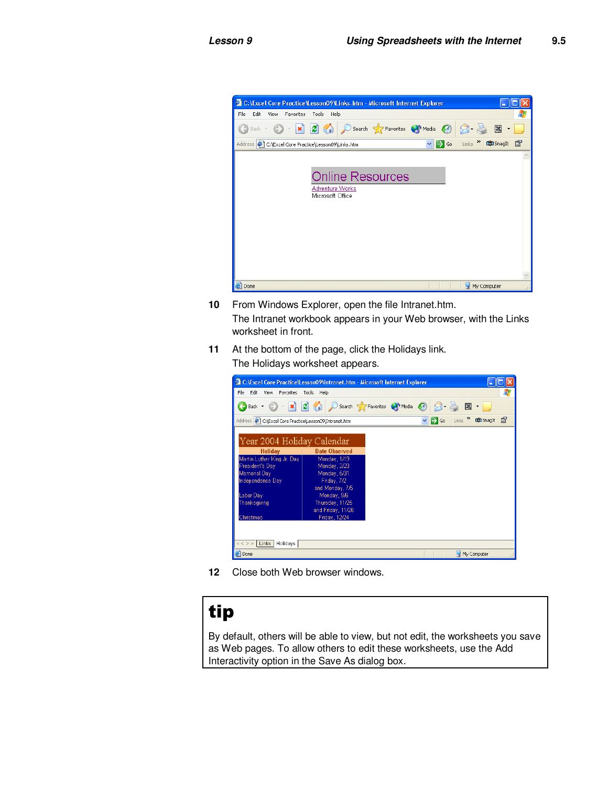

- **10** From Windows Explorer, open the file Intranet.htm. The Intranet workbook appears in your Web browser, with the Links worksheet in front.
- **11** At the bottom of the page, click the Holidays link. The Holidays worksheet appears.

| C:\Excel Core Practice\Lesson09\Intranet.htm - Microsoft Internet Explorer       |                      |                            |   |                  |                     |                  |    |
|----------------------------------------------------------------------------------|----------------------|----------------------------|---|------------------|---------------------|------------------|----|
| File<br>Edit<br>View<br>Favorites                                                | Tools<br>Help        |                            |   |                  |                     |                  | И. |
| $ \mathbf{x} $<br>Back -                                                         | $\sqrt{2}$           | Search Seavorites Commedia |   |                  | 図                   |                  |    |
| Address $\left\  \epsilon \right\ $ C:\Excel Core Practice\Lesson09\Intranet.htm |                      |                            | v | $\rightarrow$ Go | Links $\rightarrow$ | <b>CO</b> SnagIt | 會  |
| Year 2004 Holiday Calendar                                                       |                      |                            |   |                  |                     |                  |    |
| Holiday                                                                          | <b>Date Observed</b> |                            |   |                  |                     |                  |    |
| Martin Luther King Jr. Day                                                       | Monday, 1/19         |                            |   |                  |                     |                  |    |
| President's Day                                                                  | Monday, 2/23         |                            |   |                  |                     |                  |    |
| Memorial Day                                                                     | Monday, 5/31         |                            |   |                  |                     |                  |    |
| Independence Day                                                                 | Friday, 7/2          |                            |   |                  |                     |                  |    |
|                                                                                  | and Monday, 7/5      |                            |   |                  |                     |                  |    |
| Labor Day                                                                        | Monday, 9/6          |                            |   |                  |                     |                  |    |
| Thanksgiving                                                                     | Thursday, 11/25      |                            |   |                  |                     |                  |    |
|                                                                                  | and Friday, 11/26    |                            |   |                  |                     |                  |    |
| Christmas                                                                        | Friday, 12/24        |                            |   |                  |                     |                  |    |
|                                                                                  |                      |                            |   |                  |                     |                  |    |
|                                                                                  |                      |                            |   |                  |                     |                  |    |
| « < > » Links   Holidays                                                         |                      |                            |   |                  |                     |                  |    |
| e Done                                                                           |                      |                            |   |                  |                     | My Computer      |    |

**12** Close both Web browser windows.

# tip

By default, others will be able to view, but not edit, the worksheets you save as Web pages. To allow others to edit these worksheets, use the Add Interactivity option in the Save As dialog box.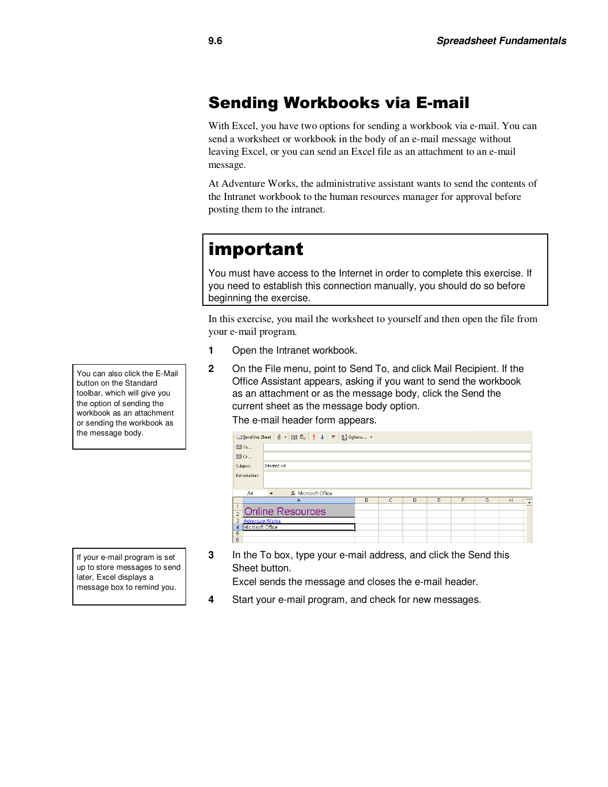### Sending Workbooks via E-mail

With Excel, you have two options for sending a workbook via e-mail. You can send a worksheet or workbook in the body of an e-mail message without leaving Excel, or you can send an Excel file as an attachment to an e-mail message.

At Adventure Works, the administrative assistant wants to send the contents of the Intranet workbook to the human resources manager for approval before posting them to the intranet.

## important

You must have access to the Internet in order to complete this exercise. If you need to establish this connection manually, you should do so before beginning the exercise.

In this exercise, you mail the worksheet to yourself and then open the file from your e-mail program.

- **1** Open the Intranet workbook.
- **2** On the File menu, point to Send To, and click Mail Recipient. If the Office Assistant appears, asking if you want to send the workbook as an attachment or as the message body, click the Send the current sheet as the message body option. The e-mail header form appears.

|               | <b>El Send this Sheet</b>   <b>0 → 图 克   ! ↓   ▼</b>   B   Options → |                                                 |                                |   |   |        |   |   |   |   |  |
|---------------|----------------------------------------------------------------------|-------------------------------------------------|--------------------------------|---|---|--------|---|---|---|---|--|
|               | 图 To                                                                 |                                                 |                                |   |   |        |   |   |   |   |  |
| 图 Cc          |                                                                      |                                                 |                                |   |   |        |   |   |   |   |  |
|               | Subject:                                                             | Intranet.xls                                    |                                |   |   |        |   |   |   |   |  |
| Introduction: |                                                                      |                                                 |                                |   |   |        |   |   |   |   |  |
|               | A4                                                                   | fx Microsoft Office<br>$\overline{\phantom{a}}$ |                                |   |   |        |   |   |   |   |  |
|               |                                                                      |                                                 |                                |   |   |        |   |   |   |   |  |
|               |                                                                      |                                                 | Α                              | B | с | $\Box$ | E | F | G | Н |  |
|               |                                                                      |                                                 | $\frac{1}{2}$ Online Resources |   |   |        |   |   |   |   |  |
|               | 3 Adventure Works                                                    |                                                 |                                |   |   |        |   |   |   |   |  |
|               | 4 Microsoft Office                                                   |                                                 |                                |   |   |        |   |   |   |   |  |
| 5<br>6        |                                                                      |                                                 |                                |   |   |        |   |   |   |   |  |

If your e-mail program is set up to store messages to send later, Excel displays a message box to remind you.

You can also click the E-Mail button on the Standard toolbar, which will give you the option of sending the workbook as an attachment or sending the workbook as the message body.

> **3** In the To box, type your e-mail address, and click the Send this Sheet button.

Excel sends the message and closes the e-mail header.

**4** Start your e-mail program, and check for new messages.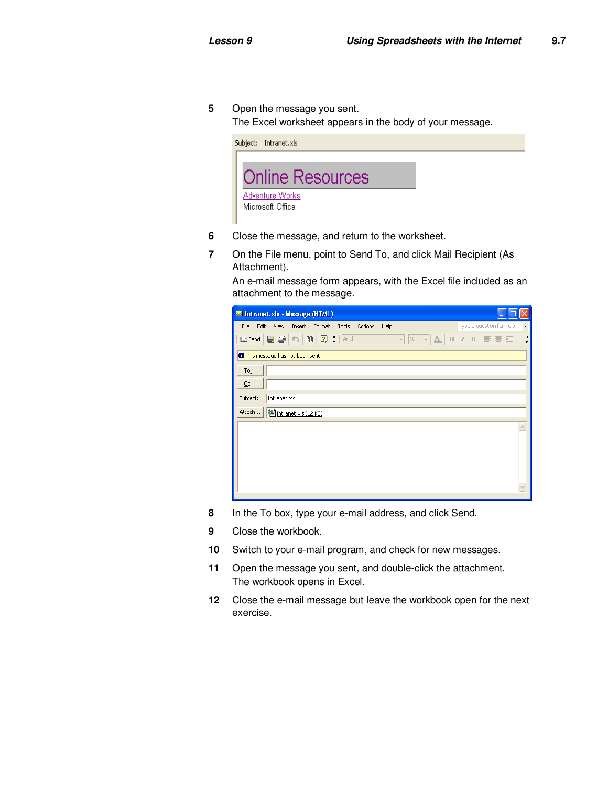**5** Open the message you sent.

The Excel worksheet appears in the body of your message.



- **6** Close the message, and return to the worksheet.
- **7** On the File menu, point to Send To, and click Mail Recipient (As Attachment).

An e-mail message form appears, with the Excel file included as an attachment to the message.

| Intranet.xls - Message (HTML)            |                      |                                                                                                 |        |              |         |      |  |  |                          |  |                          |
|------------------------------------------|----------------------|-------------------------------------------------------------------------------------------------|--------|--------------|---------|------|--|--|--------------------------|--|--------------------------|
| Eile<br>Edit                             | <b>View</b>          | Insert                                                                                          | Format | <b>Tools</b> | Actions | Help |  |  | Type a question for help |  | $\overline{\phantom{a}}$ |
| i⊡ Send                                  | $\blacksquare$       | $\mathbb{R} \setminus \mathbb{R}$ $\begin{bmatrix} \mathbb{R} & \mathbb{R} \end{bmatrix}$ arial |        |              |         |      |  |  |                          |  | $\frac{35}{7}$           |
| <b>O</b> This message has not been sent. |                      |                                                                                                 |        |              |         |      |  |  |                          |  |                          |
| $To_{L}$ .                               |                      |                                                                                                 |        |              |         |      |  |  |                          |  |                          |
| $C$ c                                    |                      |                                                                                                 |        |              |         |      |  |  |                          |  |                          |
| Subject:                                 | Intranet.xls         |                                                                                                 |        |              |         |      |  |  |                          |  |                          |
| Attach                                   | Intranet.xls (12 KB) |                                                                                                 |        |              |         |      |  |  |                          |  |                          |
|                                          |                      |                                                                                                 |        |              |         |      |  |  |                          |  |                          |
|                                          |                      |                                                                                                 |        |              |         |      |  |  |                          |  |                          |
|                                          |                      |                                                                                                 |        |              |         |      |  |  |                          |  |                          |
|                                          |                      |                                                                                                 |        |              |         |      |  |  |                          |  |                          |
|                                          |                      |                                                                                                 |        |              |         |      |  |  |                          |  |                          |
|                                          |                      |                                                                                                 |        |              |         |      |  |  |                          |  |                          |

- **8** In the To box, type your e-mail address, and click Send.
- **9** Close the workbook.
- **10** Switch to your e-mail program, and check for new messages.
- **11** Open the message you sent, and double-click the attachment. The workbook opens in Excel.
- **12** Close the e-mail message but leave the workbook open for the next exercise.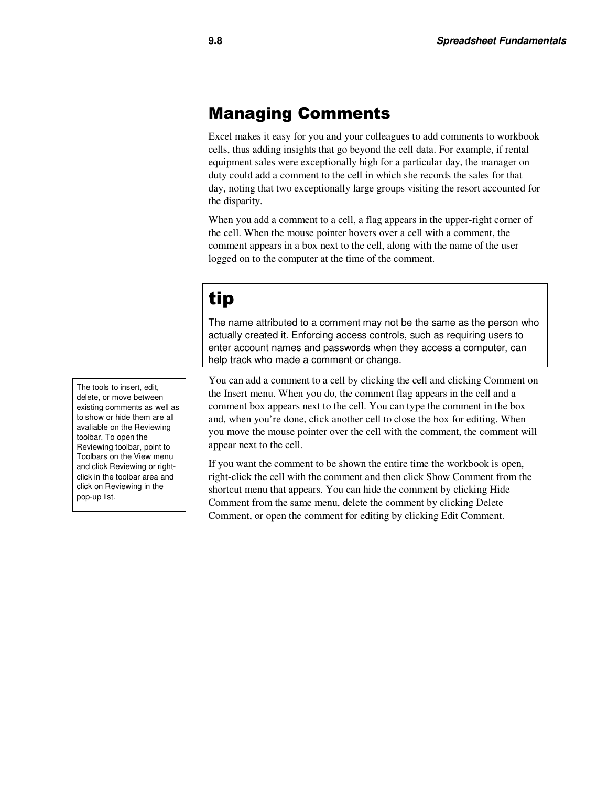#### Managing Comments

Excel makes it easy for you and your colleagues to add comments to workbook cells, thus adding insights that go beyond the cell data. For example, if rental equipment sales were exceptionally high for a particular day, the manager on duty could add a comment to the cell in which she records the sales for that day, noting that two exceptionally large groups visiting the resort accounted for the disparity.

When you add a comment to a cell, a flag appears in the upper-right corner of the cell. When the mouse pointer hovers over a cell with a comment, the comment appears in a box next to the cell, along with the name of the user logged on to the computer at the time of the comment.

# tip

The name attributed to a comment may not be the same as the person who actually created it. Enforcing access controls, such as requiring users to enter account names and passwords when they access a computer, can help track who made a comment or change.

You can add a comment to a cell by clicking the cell and clicking Comment on the Insert menu. When you do, the comment flag appears in the cell and a comment box appears next to the cell. You can type the comment in the box and, when you're done, click another cell to close the box for editing. When you move the mouse pointer over the cell with the comment, the comment will appear next to the cell.

If you want the comment to be shown the entire time the workbook is open, right-click the cell with the comment and then click Show Comment from the shortcut menu that appears. You can hide the comment by clicking Hide Comment from the same menu, delete the comment by clicking Delete Comment, or open the comment for editing by clicking Edit Comment.

The tools to insert, edit, delete, or move between existing comments as well as to show or hide them are all avaliable on the Reviewing toolbar. To open the Reviewing toolbar, point to Toolbars on the View menu and click Reviewing or rightclick in the toolbar area and click on Reviewing in the pop-up list.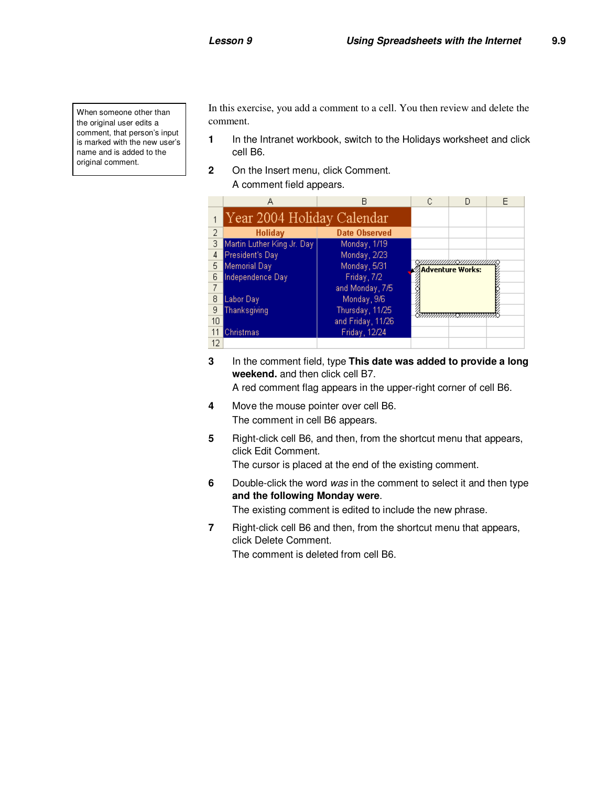When someone other than the original user edits a comment, that person's input is marked with the new user's name and is added to the original comment.

In this exercise, you add a comment to a cell. You then review and delete the comment.

- **1** In the Intranet workbook, switch to the Holidays worksheet and click cell B6.
- **2** On the Insert menu, click Comment. A comment field appears.

|    | А                          | R                    |  |                         |  |
|----|----------------------------|----------------------|--|-------------------------|--|
|    | Year 2004 Holiday Calendar |                      |  |                         |  |
| 2  | Holiday                    | <b>Date Observed</b> |  |                         |  |
| 3  | Martin Luther King Jr. Day | Monday, 1/19         |  |                         |  |
| 4  | President's Day            | Monday, 2/23         |  |                         |  |
| 5  | Memorial Day               | Monday, 5/31         |  | <b>Adventure Works:</b> |  |
| 6  | Independence Day           | Friday, 7/2          |  |                         |  |
|    |                            | and Monday, 7/5      |  |                         |  |
| 8  | Labor Day                  | Monday, 9/6          |  |                         |  |
| 9  | Thanksgiving               | Thursday, 11/25      |  |                         |  |
| 10 |                            | and Friday, 11/26    |  |                         |  |
|    | Christmas                  | Friday, 12/24        |  |                         |  |
| 12 |                            |                      |  |                         |  |

**3** In the comment field, type **This date was added to provide a long weekend.** and then click cell B7.

A red comment flag appears in the upper-right corner of cell B6.

- **4** Move the mouse pointer over cell B6. The comment in cell B6 appears.
- **5** Right-click cell B6, and then, from the shortcut menu that appears, click Edit Comment.

The cursor is placed at the end of the existing comment.

**6** Double-click the word *was* in the comment to select it and then type **and the following Monday were**.

The existing comment is edited to include the new phrase.

**7** Right-click cell B6 and then, from the shortcut menu that appears, click Delete Comment.

The comment is deleted from cell B6.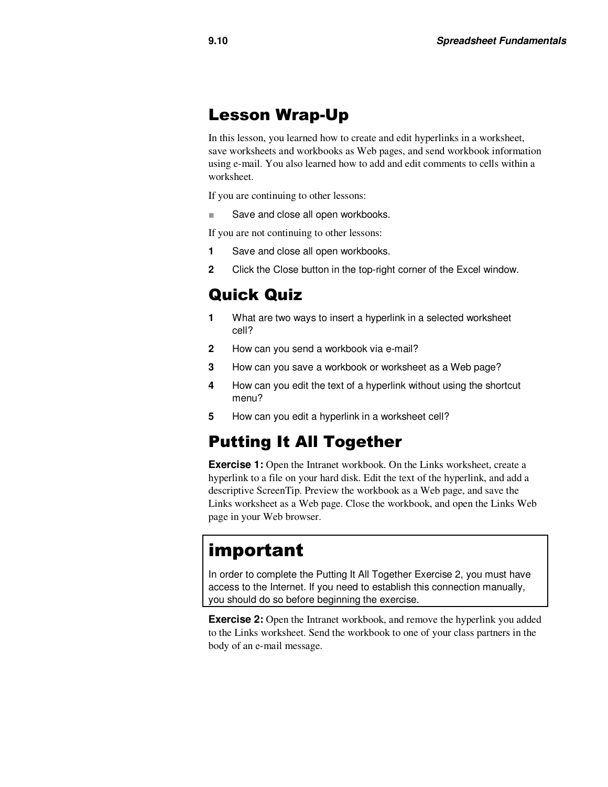#### Lesson Wrap-Up

In this lesson, you learned how to create and edit hyperlinks in a worksheet, save worksheets and workbooks as Web pages, and send workbook information using e-mail. You also learned how to add and edit comments to cells within a worksheet.

If you are continuing to other lessons:

■ Save and close all open workbooks.

If you are not continuing to other lessons:

- **1** Save and close all open workbooks.
- **2** Click the Close button in the top-right corner of the Excel window.

#### Quick Quiz

- **1** What are two ways to insert a hyperlink in a selected worksheet cell?
- **2** How can you send a workbook via e-mail?
- **3** How can you save a workbook or worksheet as a Web page?
- **4** How can you edit the text of a hyperlink without using the shortcut menu?
- **5** How can you edit a hyperlink in a worksheet cell?

#### Putting It All Together

**Exercise 1:** Open the Intranet workbook. On the Links worksheet, create a hyperlink to a file on your hard disk. Edit the text of the hyperlink, and add a descriptive ScreenTip. Preview the workbook as a Web page, and save the Links worksheet as a Web page. Close the workbook, and open the Links Web page in your Web browser.

### important

In order to complete the Putting It All Together Exercise 2, you must have access to the Internet. If you need to establish this connection manually, you should do so before beginning the exercise.

**Exercise 2:** Open the Intranet workbook, and remove the hyperlink you added to the Links worksheet. Send the workbook to one of your class partners in the body of an e-mail message.